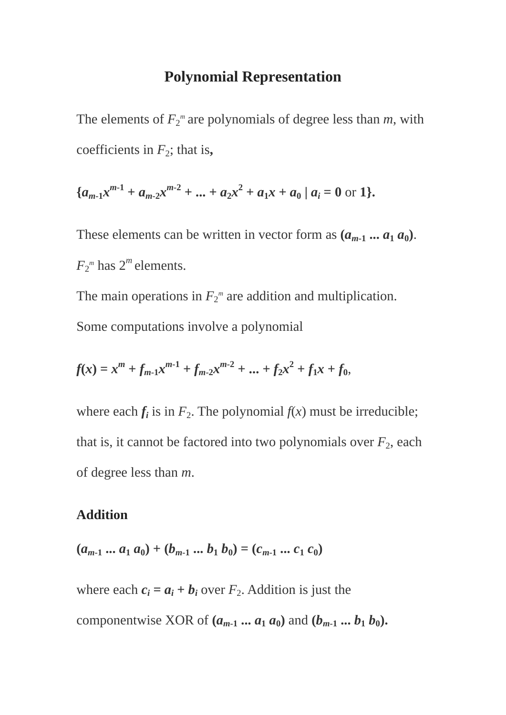### **Polynomial Representation**

The elements of  $F_2^m$  are polynomials of degree less than  $m$ , with coefficients in  $F_2$ ; that is,

$$
\{a_{m-1}x^{m-1} + a_{m-2}x^{m-2} + \dots + a_2x^2 + a_1x + a_0 \mid a_i = 0 \text{ or } 1\}.
$$

These elements can be written in vector form as  $(a_{m-1} \dots a_1 a_0)$ .  $F_2^m$  has  $2^m$  elements.

The main operations in  $F_2^m$  are addition and multiplication. Some computations involve a polynomial

$$
f(x) = xm + fm-1xm-1 + fm-2xm-2 + ... + f2x2 + f1x + f0,
$$

where each  $f_i$  is in  $F_2$ . The polynomial  $f(x)$  must be irreducible; that is, it cannot be factored into two polynomials over  $F_2$ , each of degree less than *m*.

#### **Addition**

$$
(a_{m-1} \dots a_1 a_0) + (b_{m-1} \dots b_1 b_0) = (c_{m-1} \dots c_1 c_0)
$$

where each  $c_i = a_i + b_i$  over  $F_2$ . Addition is just the componentwise XOR of  $(a_{m-1} \dots a_1 a_0)$  and  $(b_{m-1} \dots b_1 b_0)$ .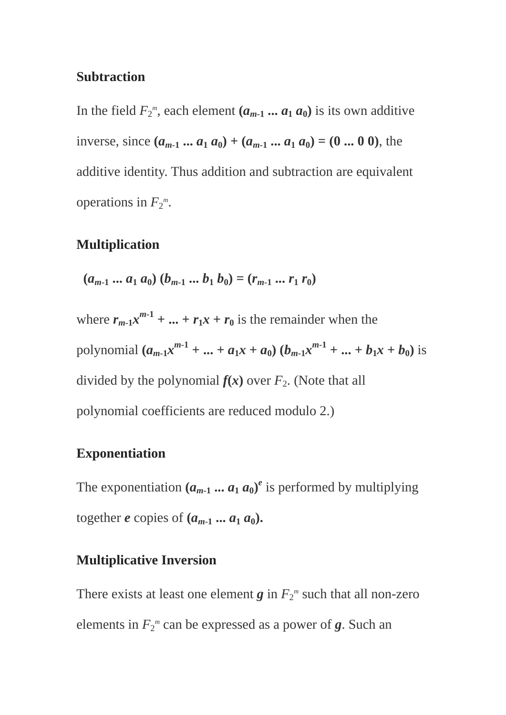### **Subtraction**

In the field  $F_2^m$ , each element  $(a_{m-1} \dots a_1 a_0)$  is its own additive inverse, since  $(a_{m-1} \dots a_1 a_0) + (a_{m-1} \dots a_1 a_0) = (0 \dots 0 \ 0)$ , the additive identity. Thus addition and subtraction are equivalent operations in  $F_2^m$ .

### **Multiplication**

$$
(a_{m-1} \dots a_1 a_0) (b_{m-1} \dots b_1 b_0) = (r_{m-1} \dots r_1 r_0)
$$

where  $r_{m-1}x^{m-1} + \dots + r_1x + r_0$  is the remainder when the polynomial  $(a_{m-1}x^{m-1} + ... + a_1x + a_0)$   $(b_{m-1}x^{m-1} + ... + b_1x + b_0)$  is divided by the polynomial  $f(x)$  over  $F_2$ . (Note that all polynomial coefficients are reduced modulo 2.)

### **Exponentiation**

The exponentiation  $(a_{m-1} \dots a_1 a_0)^e$  is performed by multiplying together *e* copies of  $(a_{m-1} \dots a_1 a_0)$ .

### **Multiplicative Inversion**

There exists at least one element  $g$  in  $F_2^m$  such that all non-zero elements in  $F_2^m$  can be expressed as a power of  $g$ . Such an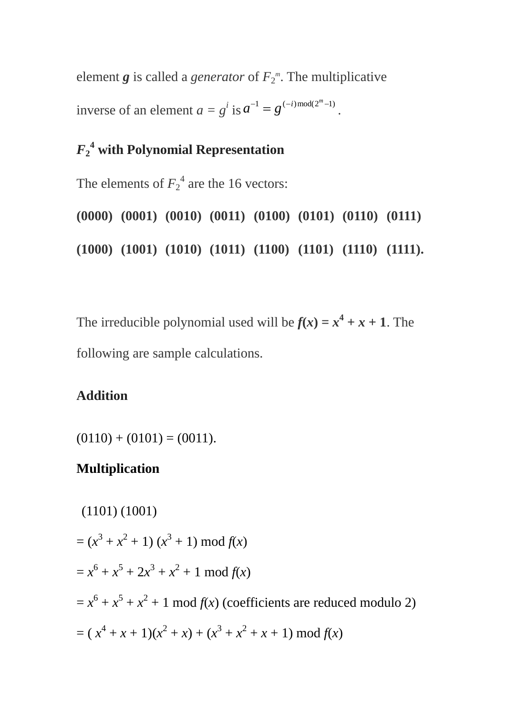element  $g$  is called a *generator* of  $F_2^m$ . The multiplicative inverse of an element  $a = g^i$  is  $a^{-1} = g^{(-i) \mod (2^m - 1)}$ .

# *F***2 4 with Polynomial Representation**

The elements of  $F_2^4$  are the 16 vectors:

**(0000) (0001) (0010) (0011) (0100) (0101) (0110) (0111) (1000) (1001) (1010) (1011) (1100) (1101) (1110) (1111).**

The irreducible polynomial used will be  $f(x) = x^4 + x + 1$ . The following are sample calculations.

### **Addition**

 $(0110) + (0101) = (0011).$ 

### **Multiplication**

(1101) (1001)  $=(x^3 + x^2 + 1)(x^3 + 1) \bmod f(x)$  $= x^6 + x^5 + 2x^3 + x^2 + 1 \mod f(x)$  $= x^6 + x^5 + x^2 + 1$  mod  $f(x)$  (coefficients are reduced modulo 2)  $= (x<sup>4</sup> + x + 1)(x<sup>2</sup> + x) + (x<sup>3</sup> + x<sup>2</sup> + x + 1) \text{ mod } f(x)$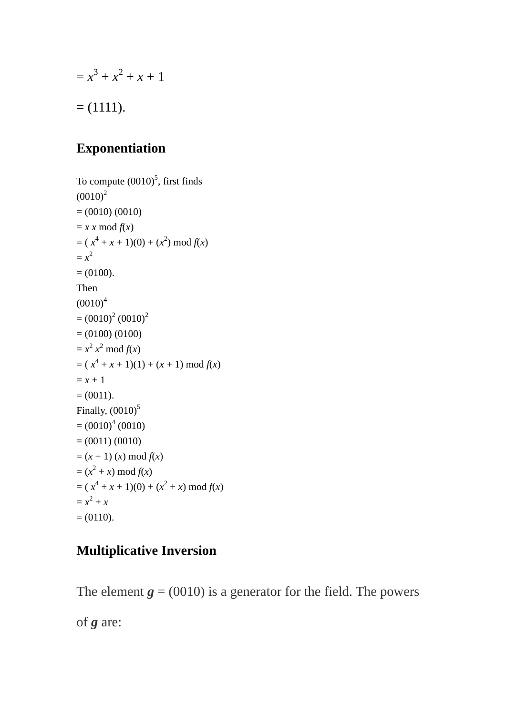$$
= x3 + x2 + x + 1
$$
  
= (1111).

# **Exponentiation**

To compute  $(0010)^5$ , first finds  $(0010)^2$  $= (0010) (0010)$  $= x x \mod f(x)$  $=(x^4 + x + 1)(0) + (x^2) \bmod f(x)$  $= x^2$  $= (0100).$ Then  $(0010)^4$  $=(0010)^{2}(0010)^{2}$  $= (0100) (0100)$  $= x^2 x^2 \mod f(x)$  $=(x^4 + x + 1)(1) + (x + 1) \bmod f(x)$  $= x + 1$  $= (0011).$ Finally,  $(0010)^5$  $=(0010)^4(0010)$  $= (0011) (0010)$  $=(x + 1)(x) \mod f(x)$  $=(x^2 + x) \bmod f(x)$  $= (x<sup>4</sup> + x + 1)(0) + (x<sup>2</sup> + x) \text{ mod } f(x)$  $= x^2 + x$  $= (0110).$ 

# **Multiplicative Inversion**

The element  $g = (0010)$  is a generator for the field. The powers

of *g* are: